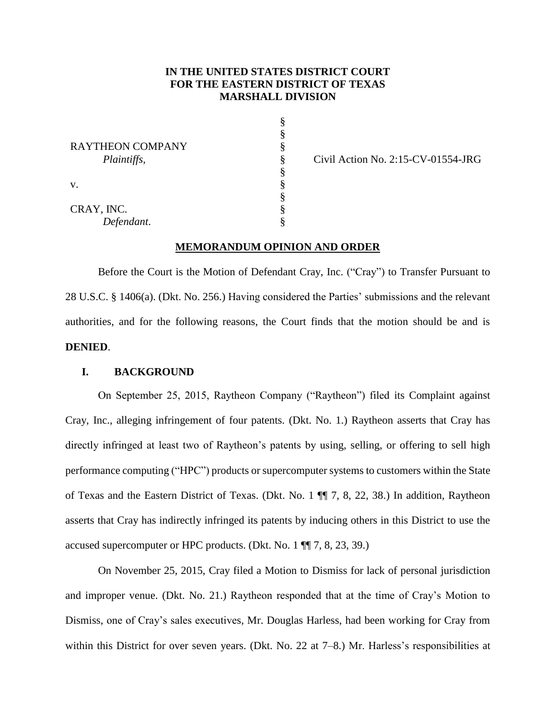# **IN THE UNITED STATES DISTRICT COURT FOR THE EASTERN DISTRICT OF TEXAS MARSHALL DIVISION**

|                         | Ş |
|-------------------------|---|
|                         | § |
| <b>RAYTHEON COMPANY</b> | § |
| Plaintiffs,             | § |
|                         | § |
| V.                      | § |
|                         | § |
| CRAY, INC.              | § |
| Defendant.              | Ş |

Civil Action No. 2:15-CV-01554-JRG

#### **MEMORANDUM OPINION AND ORDER**

Before the Court is the Motion of Defendant Cray, Inc. ("Cray") to Transfer Pursuant to 28 U.S.C. § 1406(a). (Dkt. No. 256.) Having considered the Parties' submissions and the relevant authorities, and for the following reasons, the Court finds that the motion should be and is **DENIED**.

## **I. BACKGROUND**

On September 25, 2015, Raytheon Company ("Raytheon") filed its Complaint against Cray, Inc., alleging infringement of four patents. (Dkt. No. 1.) Raytheon asserts that Cray has directly infringed at least two of Raytheon's patents by using, selling, or offering to sell high performance computing ("HPC") products or supercomputer systems to customers within the State of Texas and the Eastern District of Texas. (Dkt. No. 1 ¶¶ 7, 8, 22, 38.) In addition, Raytheon asserts that Cray has indirectly infringed its patents by inducing others in this District to use the accused supercomputer or HPC products. (Dkt. No. 1 ¶¶ 7, 8, 23, 39.)

On November 25, 2015, Cray filed a Motion to Dismiss for lack of personal jurisdiction and improper venue. (Dkt. No. 21.) Raytheon responded that at the time of Cray's Motion to Dismiss, one of Cray's sales executives, Mr. Douglas Harless, had been working for Cray from within this District for over seven years. (Dkt. No. 22 at 7–8.) Mr. Harless's responsibilities at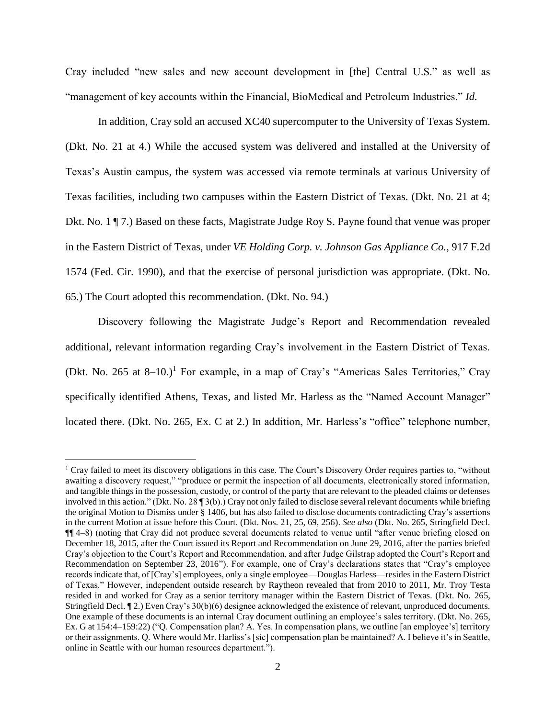Cray included "new sales and new account development in [the] Central U.S." as well as "management of key accounts within the Financial, BioMedical and Petroleum Industries." *Id.* 

In addition, Cray sold an accused XC40 supercomputer to the University of Texas System. (Dkt. No. 21 at 4.) While the accused system was delivered and installed at the University of Texas's Austin campus, the system was accessed via remote terminals at various University of Texas facilities, including two campuses within the Eastern District of Texas. (Dkt. No. 21 at 4; Dkt. No. 1 ¶ 7.) Based on these facts, Magistrate Judge Roy S. Payne found that venue was proper in the Eastern District of Texas, under *VE Holding Corp. v. Johnson Gas Appliance Co.*, 917 F.2d 1574 (Fed. Cir. 1990), and that the exercise of personal jurisdiction was appropriate. (Dkt. No. 65.) The Court adopted this recommendation. (Dkt. No. 94.)

Discovery following the Magistrate Judge's Report and Recommendation revealed additional, relevant information regarding Cray's involvement in the Eastern District of Texas. (Dkt. No. 265 at  $8-10$ .)<sup>1</sup> For example, in a map of Cray's "Americas Sales Territories," Cray specifically identified Athens, Texas, and listed Mr. Harless as the "Named Account Manager" located there. (Dkt. No. 265, Ex. C at 2.) In addition, Mr. Harless's "office" telephone number,

<sup>&</sup>lt;sup>1</sup> Cray failed to meet its discovery obligations in this case. The Court's Discovery Order requires parties to, "without awaiting a discovery request," "produce or permit the inspection of all documents, electronically stored information, and tangible things in the possession, custody, or control of the party that are relevant to the pleaded claims or defenses involved in this action." (Dkt. No. 28 ¶ 3(b).) Cray not only failed to disclose several relevant documents while briefing the original Motion to Dismiss under § 1406, but has also failed to disclose documents contradicting Cray's assertions in the current Motion at issue before this Court. (Dkt. Nos. 21, 25, 69, 256). *See also* (Dkt. No. 265, Stringfield Decl. ¶¶ 4–8) (noting that Cray did not produce several documents related to venue until "after venue briefing closed on December 18, 2015, after the Court issued its Report and Recommendation on June 29, 2016, after the parties briefed Cray's objection to the Court's Report and Recommendation, and after Judge Gilstrap adopted the Court's Report and Recommendation on September 23, 2016"). For example, one of Cray's declarations states that "Cray's employee records indicate that, of [Cray's] employees, only a single employee—Douglas Harless—resides in the Eastern District of Texas." However, independent outside research by Raytheon revealed that from 2010 to 2011, Mr. Troy Testa resided in and worked for Cray as a senior territory manager within the Eastern District of Texas. (Dkt. No. 265, Stringfield Decl. ¶ 2.) Even Cray's 30(b)(6) designee acknowledged the existence of relevant, unproduced documents. One example of these documents is an internal Cray document outlining an employee's sales territory. (Dkt. No. 265, Ex. G at 154:4–159:22) ("Q. Compensation plan? A. Yes. In compensation plans, we outline [an employee's] territory or their assignments. Q. Where would Mr. Harliss's [sic] compensation plan be maintained? A. I believe it's in Seattle, online in Seattle with our human resources department.").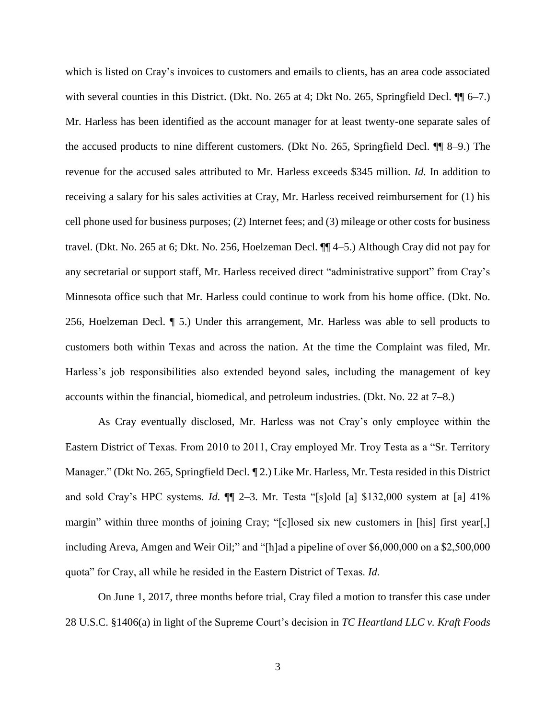which is listed on Cray's invoices to customers and emails to clients, has an area code associated with several counties in this District. (Dkt. No. 265 at 4; Dkt No. 265, Springfield Decl.  $\P$  6–7.) Mr. Harless has been identified as the account manager for at least twenty-one separate sales of the accused products to nine different customers. (Dkt No. 265, Springfield Decl. ¶¶ 8–9.) The revenue for the accused sales attributed to Mr. Harless exceeds \$345 million. *Id.* In addition to receiving a salary for his sales activities at Cray, Mr. Harless received reimbursement for (1) his cell phone used for business purposes; (2) Internet fees; and (3) mileage or other costs for business travel. (Dkt. No. 265 at 6; Dkt. No. 256, Hoelzeman Decl. ¶¶ 4–5.) Although Cray did not pay for any secretarial or support staff, Mr. Harless received direct "administrative support" from Cray's Minnesota office such that Mr. Harless could continue to work from his home office. (Dkt. No. 256, Hoelzeman Decl. ¶ 5.) Under this arrangement, Mr. Harless was able to sell products to customers both within Texas and across the nation. At the time the Complaint was filed, Mr. Harless's job responsibilities also extended beyond sales, including the management of key accounts within the financial, biomedical, and petroleum industries. (Dkt. No. 22 at 7–8.)

As Cray eventually disclosed, Mr. Harless was not Cray's only employee within the Eastern District of Texas. From 2010 to 2011, Cray employed Mr. Troy Testa as a "Sr. Territory Manager." (Dkt No. 265, Springfield Decl. *¶* 2.) Like Mr. Harless, Mr. Testa resided in this District and sold Cray's HPC systems. *Id.* ¶¶ 2–3. Mr. Testa "[s]old [a] \$132,000 system at [a] 41% margin" within three months of joining Cray; "[c]losed six new customers in [his] first year[,] including Areva, Amgen and Weir Oil;" and "[h]ad a pipeline of over \$6,000,000 on a \$2,500,000 quota" for Cray, all while he resided in the Eastern District of Texas. *Id.*

On June 1, 2017, three months before trial, Cray filed a motion to transfer this case under 28 U.S.C. §1406(a) in light of the Supreme Court's decision in *TC Heartland LLC v. Kraft Foods*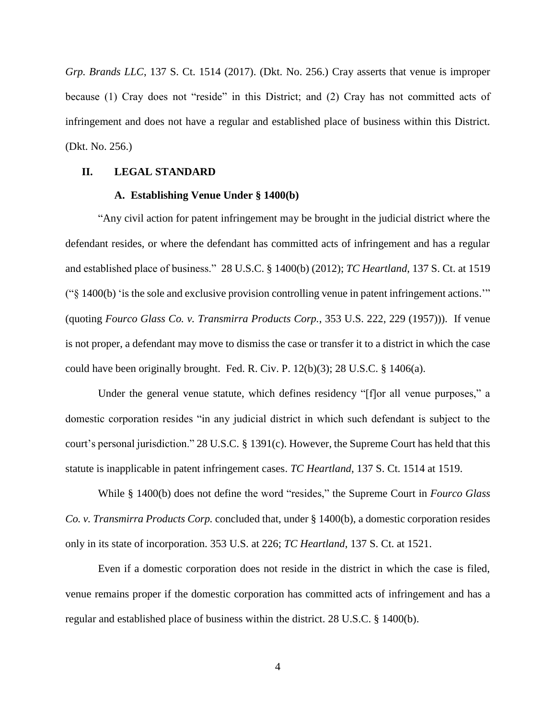*Grp. Brands LLC*, 137 S. Ct. 1514 (2017). (Dkt. No. 256.) Cray asserts that venue is improper because (1) Cray does not "reside" in this District; and (2) Cray has not committed acts of infringement and does not have a regular and established place of business within this District. (Dkt. No. 256.)

# **II. LEGAL STANDARD**

#### **A. Establishing Venue Under § 1400(b)**

"Any civil action for patent infringement may be brought in the judicial district where the defendant resides, or where the defendant has committed acts of infringement and has a regular and established place of business." 28 U.S.C. § 1400(b) (2012); *TC Heartland*, 137 S. Ct. at 1519 ("§ 1400(b) 'is the sole and exclusive provision controlling venue in patent infringement actions.'" (quoting *Fourco Glass Co. v. Transmirra Products Corp.*, 353 U.S. 222, 229 (1957))). If venue is not proper, a defendant may move to dismiss the case or transfer it to a district in which the case could have been originally brought. Fed. R. Civ. P. 12(b)(3); 28 U.S.C. § 1406(a).

Under the general venue statute, which defines residency "[f]or all venue purposes," a domestic corporation resides "in any judicial district in which such defendant is subject to the court's personal jurisdiction." 28 U.S.C. § 1391(c). However, the Supreme Court has held that this statute is inapplicable in patent infringement cases. *TC Heartland*, 137 S. Ct. 1514 at 1519.

While § 1400(b) does not define the word "resides," the Supreme Court in *Fourco Glass Co. v. Transmirra Products Corp.* concluded that, under § 1400(b), a domestic corporation resides only in its state of incorporation. 353 U.S. at 226; *TC Heartland*, 137 S. Ct. at 1521.

Even if a domestic corporation does not reside in the district in which the case is filed, venue remains proper if the domestic corporation has committed acts of infringement and has a regular and established place of business within the district. 28 U.S.C. § 1400(b).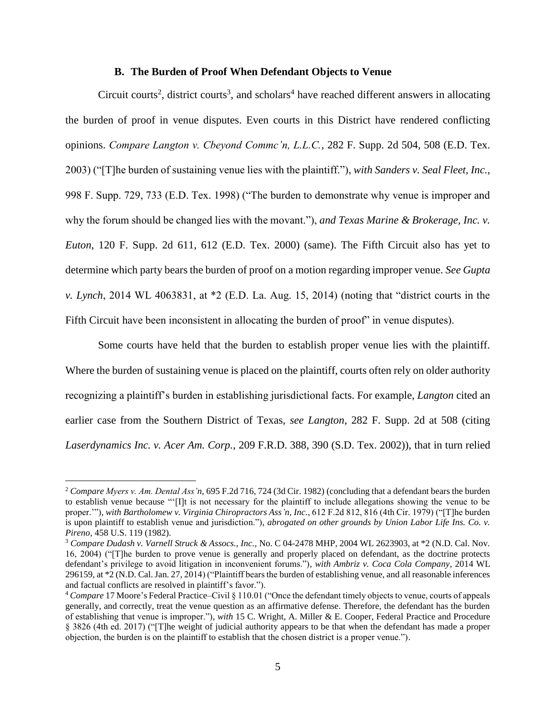#### **B. The Burden of Proof When Defendant Objects to Venue**

Circuit courts<sup>2</sup>, district courts<sup>3</sup>, and scholars<sup>4</sup> have reached different answers in allocating the burden of proof in venue disputes. Even courts in this District have rendered conflicting opinions. *Compare Langton v. Cbeyond Commc'n, L.L.C.*, 282 F. Supp. 2d 504, 508 (E.D. Tex. 2003) ("[T]he burden of sustaining venue lies with the plaintiff."), *with Sanders v. Seal Fleet, Inc.*, 998 F. Supp. 729, 733 (E.D. Tex. 1998) ("The burden to demonstrate why venue is improper and why the forum should be changed lies with the movant."), *and Texas Marine & Brokerage, Inc. v. Euton*, 120 F. Supp. 2d 611, 612 (E.D. Tex. 2000) (same). The Fifth Circuit also has yet to determine which party bears the burden of proof on a motion regarding improper venue. *See Gupta v. Lynch*, 2014 WL 4063831, at \*2 (E.D. La. Aug. 15, 2014) (noting that "district courts in the Fifth Circuit have been inconsistent in allocating the burden of proof" in venue disputes).

Some courts have held that the burden to establish proper venue lies with the plaintiff. Where the burden of sustaining venue is placed on the plaintiff, courts often rely on older authority recognizing a plaintiff's burden in establishing jurisdictional facts. For example, *Langton* cited an earlier case from the Southern District of Texas, *see Langton*, 282 F. Supp. 2d at 508 (citing *Laserdynamics Inc. v. Acer Am. Corp.*, 209 F.R.D. 388, 390 (S.D. Tex. 2002)), that in turn relied

<sup>2</sup> *Compare Myers v. Am. Dental Ass'n*, 695 F.2d 716, 724 (3d Cir. 1982) (concluding that a defendant bears the burden to establish venue because "'[I]t is not necessary for the plaintiff to include allegations showing the venue to be proper.'"), *with Bartholomew v. Virginia Chiropractors Ass'n, Inc.*, 612 F.2d 812, 816 (4th Cir. 1979) ("[T]he burden is upon plaintiff to establish venue and jurisdiction."), *abrogated on other grounds by Union Labor Life Ins. Co. v. Pireno*, 458 U.S. 119 (1982).

<sup>3</sup> *Compare Dudash v. Varnell Struck & Assocs., Inc.*, No. C 04-2478 MHP, 2004 WL 2623903, at \*2 (N.D. Cal. Nov. 16, 2004) ("[T]he burden to prove venue is generally and properly placed on defendant, as the doctrine protects defendant's privilege to avoid litigation in inconvenient forums."), *with Ambriz v. Coca Cola Company*, 2014 WL 296159, at \*2 (N.D. Cal. Jan. 27, 2014) ("Plaintiff bears the burden of establishing venue, and all reasonable inferences and factual conflicts are resolved in plaintiff's favor.").

<sup>4</sup> *Compare* 17 Moore's Federal Practice–Civil § 110.01 ("Once the defendant timely objects to venue, courts of appeals generally, and correctly, treat the venue question as an affirmative defense. Therefore, the defendant has the burden of establishing that venue is improper."), *with* 15 C. Wright, A. Miller & E. Cooper, Federal Practice and Procedure § 3826 (4th ed. 2017) ("[T]he weight of judicial authority appears to be that when the defendant has made a proper objection, the burden is on the plaintiff to establish that the chosen district is a proper venue.").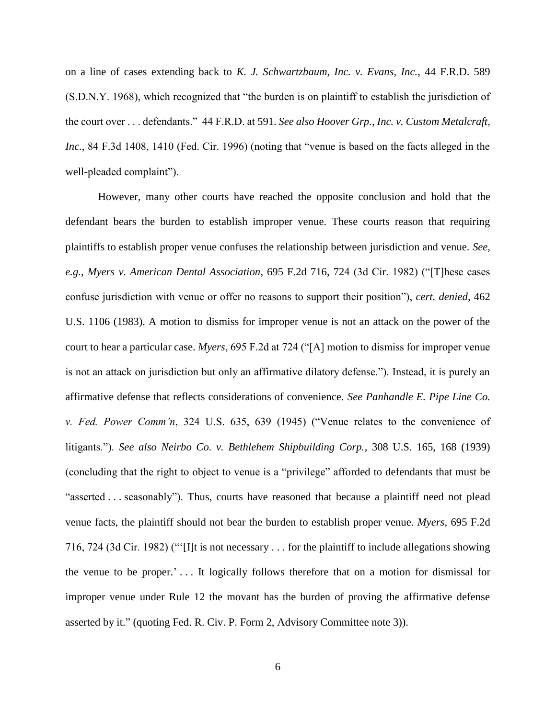on a line of cases extending back to *K. J. Schwartzbaum, Inc. v. Evans, Inc.*, 44 F.R.D. 589 (S.D.N.Y. 1968), which recognized that "the burden is on plaintiff to establish the jurisdiction of the court over . . . defendants." 44 F.R.D. at 591. *See also Hoover Grp., Inc. v. Custom Metalcraft, Inc.*, 84 F.3d 1408, 1410 (Fed. Cir. 1996) (noting that "venue is based on the facts alleged in the well-pleaded complaint").

However, many other courts have reached the opposite conclusion and hold that the defendant bears the burden to establish improper venue. These courts reason that requiring plaintiffs to establish proper venue confuses the relationship between jurisdiction and venue. *See, e.g.*, *Myers v. American Dental Association*, 695 F.2d 716, 724 (3d Cir. 1982) ("[T]hese cases confuse jurisdiction with venue or offer no reasons to support their position"), *cert. denied*, 462 U.S. 1106 (1983). A motion to dismiss for improper venue is not an attack on the power of the court to hear a particular case. *Myers*, 695 F.2d at 724 ("[A] motion to dismiss for improper venue is not an attack on jurisdiction but only an affirmative dilatory defense."). Instead, it is purely an affirmative defense that reflects considerations of convenience. *See Panhandle E. Pipe Line Co. v. Fed. Power Comm'n*, 324 U.S. 635, 639 (1945) ("Venue relates to the convenience of litigants."). *See also Neirbo Co. v. Bethlehem Shipbuilding Corp.*, 308 U.S. 165, 168 (1939) (concluding that the right to object to venue is a "privilege" afforded to defendants that must be "asserted . . . seasonably"). Thus, courts have reasoned that because a plaintiff need not plead venue facts, the plaintiff should not bear the burden to establish proper venue. *Myers*, 695 F.2d 716, 724 (3d Cir. 1982) ("'[I]t is not necessary . . . for the plaintiff to include allegations showing the venue to be proper.' . . . It logically follows therefore that on a motion for dismissal for improper venue under Rule 12 the movant has the burden of proving the affirmative defense asserted by it." (quoting Fed. R. Civ. P. Form 2, Advisory Committee note 3)).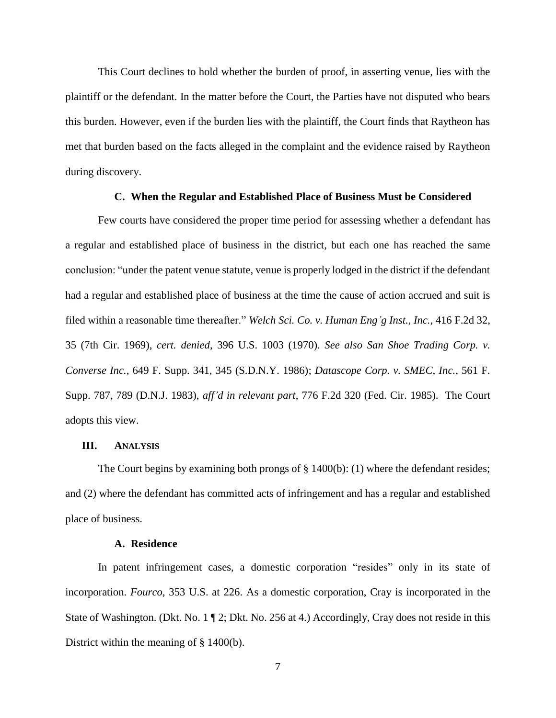This Court declines to hold whether the burden of proof, in asserting venue, lies with the plaintiff or the defendant. In the matter before the Court, the Parties have not disputed who bears this burden. However, even if the burden lies with the plaintiff, the Court finds that Raytheon has met that burden based on the facts alleged in the complaint and the evidence raised by Raytheon during discovery.

### **C. When the Regular and Established Place of Business Must be Considered**

Few courts have considered the proper time period for assessing whether a defendant has a regular and established place of business in the district, but each one has reached the same conclusion: "under the patent venue statute, venue is properly lodged in the district if the defendant had a regular and established place of business at the time the cause of action accrued and suit is filed within a reasonable time thereafter." *Welch Sci. Co. v. Human Eng'g Inst., Inc.*, 416 F.2d 32, 35 (7th Cir. 1969), *cert. denied*, 396 U.S. 1003 (1970). *See also San Shoe Trading Corp. v. Converse Inc.*, 649 F. Supp. 341, 345 (S.D.N.Y. 1986); *Datascope Corp. v. SMEC, Inc.*, 561 F. Supp. 787, 789 (D.N.J. 1983), *aff'd in relevant part*, 776 F.2d 320 (Fed. Cir. 1985). The Court adopts this view.

### **III. ANALYSIS**

The Court begins by examining both prongs of  $\S$  1400(b): (1) where the defendant resides; and (2) where the defendant has committed acts of infringement and has a regular and established place of business.

## **A. Residence**

In patent infringement cases, a domestic corporation "resides" only in its state of incorporation. *Fourco*, 353 U.S. at 226. As a domestic corporation, Cray is incorporated in the State of Washington. (Dkt. No. 1 1 2; Dkt. No. 256 at 4.) Accordingly, Cray does not reside in this District within the meaning of § 1400(b).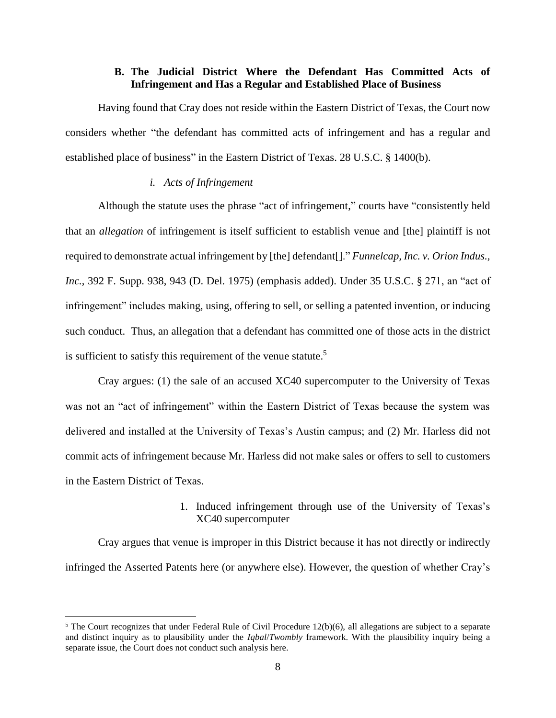## **B. The Judicial District Where the Defendant Has Committed Acts of Infringement and Has a Regular and Established Place of Business**

Having found that Cray does not reside within the Eastern District of Texas, the Court now considers whether "the defendant has committed acts of infringement and has a regular and established place of business" in the Eastern District of Texas. 28 U.S.C. § 1400(b).

## *i. Acts of Infringement*

Although the statute uses the phrase "act of infringement," courts have "consistently held that an *allegation* of infringement is itself sufficient to establish venue and [the] plaintiff is not required to demonstrate actual infringement by [the] defendant[]." *Funnelcap, Inc. v. Orion Indus., Inc.*, 392 F. Supp. 938, 943 (D. Del. 1975) (emphasis added). Under 35 U.S.C. § 271, an "act of infringement" includes making, using, offering to sell, or selling a patented invention, or inducing such conduct. Thus, an allegation that a defendant has committed one of those acts in the district is sufficient to satisfy this requirement of the venue statute.<sup>5</sup>

Cray argues: (1) the sale of an accused XC40 supercomputer to the University of Texas was not an "act of infringement" within the Eastern District of Texas because the system was delivered and installed at the University of Texas's Austin campus; and (2) Mr. Harless did not commit acts of infringement because Mr. Harless did not make sales or offers to sell to customers in the Eastern District of Texas.

# 1. Induced infringement through use of the University of Texas's XC40 supercomputer

Cray argues that venue is improper in this District because it has not directly or indirectly infringed the Asserted Patents here (or anywhere else). However, the question of whether Cray's

 $5$  The Court recognizes that under Federal Rule of Civil Procedure 12(b)(6), all allegations are subject to a separate and distinct inquiry as to plausibility under the *Iqbal*/*Twombly* framework. With the plausibility inquiry being a separate issue, the Court does not conduct such analysis here.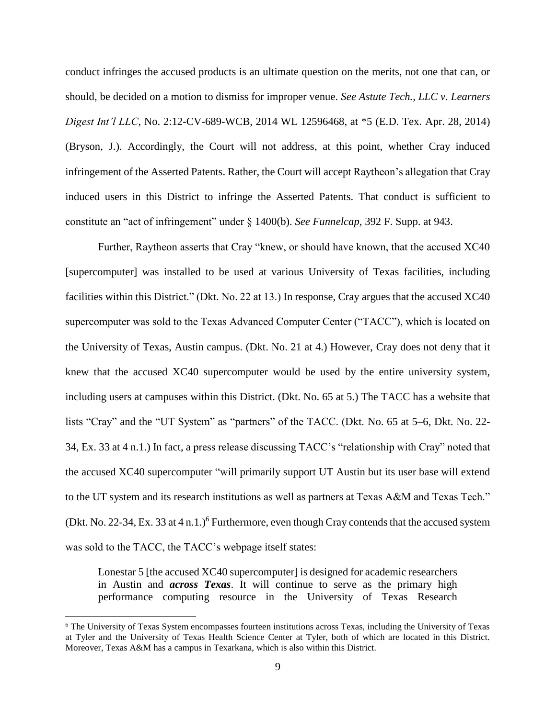conduct infringes the accused products is an ultimate question on the merits, not one that can, or should, be decided on a motion to dismiss for improper venue. *See Astute Tech., LLC v. Learners Digest Int'l LLC*, No. 2:12-CV-689-WCB, 2014 WL 12596468, at \*5 (E.D. Tex. Apr. 28, 2014) (Bryson, J.). Accordingly, the Court will not address, at this point, whether Cray induced infringement of the Asserted Patents. Rather, the Court will accept Raytheon's allegation that Cray induced users in this District to infringe the Asserted Patents. That conduct is sufficient to constitute an "act of infringement" under § 1400(b). *See Funnelcap*, 392 F. Supp. at 943.

Further, Raytheon asserts that Cray "knew, or should have known, that the accused XC40 [supercomputer] was installed to be used at various University of Texas facilities, including facilities within this District." (Dkt. No. 22 at 13.) In response, Cray argues that the accused XC40 supercomputer was sold to the Texas Advanced Computer Center ("TACC"), which is located on the University of Texas, Austin campus. (Dkt. No. 21 at 4.) However, Cray does not deny that it knew that the accused XC40 supercomputer would be used by the entire university system, including users at campuses within this District. (Dkt. No. 65 at 5.) The TACC has a website that lists "Cray" and the "UT System" as "partners" of the TACC. (Dkt. No. 65 at 5–6, Dkt. No. 22- 34, Ex. 33 at 4 n.1.) In fact, a press release discussing TACC's "relationship with Cray" noted that the accused XC40 supercomputer "will primarily support UT Austin but its user base will extend to the UT system and its research institutions as well as partners at Texas A&M and Texas Tech." (Dkt. No. 22-34, Ex. 33 at 4 n.1.)<sup>6</sup> Furthermore, even though Cray contends that the accused system was sold to the TACC, the TACC's webpage itself states:

Lonestar 5 [the accused XC40 supercomputer] is designed for academic researchers in Austin and *across Texas*. It will continue to serve as the primary high performance computing resource in the University of Texas Research

<sup>6</sup> The University of Texas System encompasses fourteen institutions across Texas, including the University of Texas at Tyler and the University of Texas Health Science Center at Tyler, both of which are located in this District. Moreover, Texas A&M has a campus in Texarkana, which is also within this District.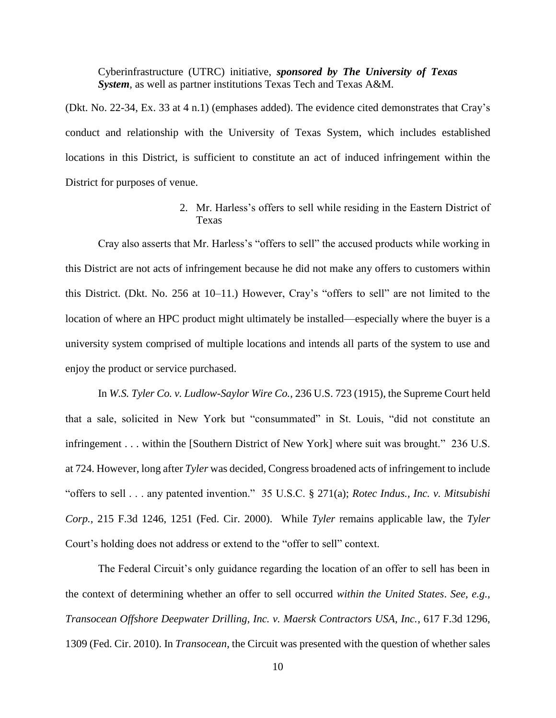Cyberinfrastructure (UTRC) initiative, *sponsored by The University of Texas System*, as well as partner institutions Texas Tech and Texas A&M.

(Dkt. No. 22-34, Ex. 33 at 4 n.1) (emphases added). The evidence cited demonstrates that Cray's conduct and relationship with the University of Texas System, which includes established locations in this District, is sufficient to constitute an act of induced infringement within the District for purposes of venue.

> 2. Mr. Harless's offers to sell while residing in the Eastern District of Texas

Cray also asserts that Mr. Harless's "offers to sell" the accused products while working in this District are not acts of infringement because he did not make any offers to customers within this District. (Dkt. No. 256 at 10–11.) However, Cray's "offers to sell" are not limited to the location of where an HPC product might ultimately be installed—especially where the buyer is a university system comprised of multiple locations and intends all parts of the system to use and enjoy the product or service purchased.

In *W.S. Tyler Co. v. Ludlow-Saylor Wire Co.*, 236 U.S. 723 (1915), the Supreme Court held that a sale, solicited in New York but "consummated" in St. Louis, "did not constitute an infringement . . . within the [Southern District of New York] where suit was brought." 236 U.S. at 724. However, long after *Tyler* was decided, Congress broadened acts of infringement to include "offers to sell . . . any patented invention." 35 U.S.C. § 271(a); *Rotec Indus., Inc. v. Mitsubishi Corp.*, 215 F.3d 1246, 1251 (Fed. Cir. 2000). While *Tyler* remains applicable law, the *Tyler* Court's holding does not address or extend to the "offer to sell" context.

The Federal Circuit's only guidance regarding the location of an offer to sell has been in the context of determining whether an offer to sell occurred *within the United States*. *See, e.g., Transocean Offshore Deepwater Drilling, Inc. v. Maersk Contractors USA, Inc.*, 617 F.3d 1296, 1309 (Fed. Cir. 2010). In *Transocean*, the Circuit was presented with the question of whether sales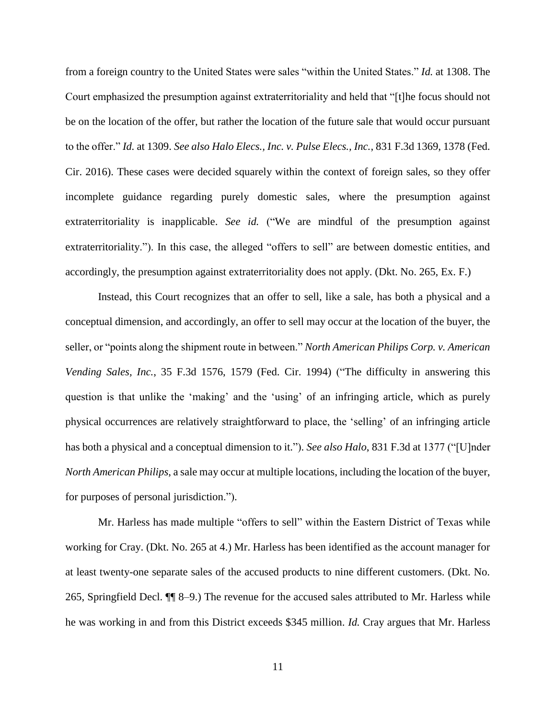from a foreign country to the United States were sales "within the United States." *Id.* at 1308. The Court emphasized the presumption against extraterritoriality and held that "[t]he focus should not be on the location of the offer, but rather the location of the future sale that would occur pursuant to the offer." *Id.* at 1309. *See also Halo Elecs., Inc. v. Pulse Elecs., Inc.*, 831 F.3d 1369, 1378 (Fed. Cir. 2016). These cases were decided squarely within the context of foreign sales, so they offer incomplete guidance regarding purely domestic sales, where the presumption against extraterritoriality is inapplicable. *See id.* ("We are mindful of the presumption against extraterritoriality."). In this case, the alleged "offers to sell" are between domestic entities, and accordingly, the presumption against extraterritoriality does not apply. (Dkt. No. 265, Ex. F.)

Instead, this Court recognizes that an offer to sell, like a sale, has both a physical and a conceptual dimension, and accordingly, an offer to sell may occur at the location of the buyer, the seller, or "points along the shipment route in between." *North American Philips Corp. v. American Vending Sales, Inc.*, 35 F.3d 1576, 1579 (Fed. Cir. 1994) ("The difficulty in answering this question is that unlike the 'making' and the 'using' of an infringing article, which as purely physical occurrences are relatively straightforward to place, the 'selling' of an infringing article has both a physical and a conceptual dimension to it."). *See also Halo*, 831 F.3d at 1377 ("[U]nder *North American Philips*, a sale may occur at multiple locations, including the location of the buyer, for purposes of personal jurisdiction.").

Mr. Harless has made multiple "offers to sell" within the Eastern District of Texas while working for Cray. (Dkt. No. 265 at 4.) Mr. Harless has been identified as the account manager for at least twenty-one separate sales of the accused products to nine different customers. (Dkt. No. 265, Springfield Decl. ¶¶ 8–9.) The revenue for the accused sales attributed to Mr. Harless while he was working in and from this District exceeds \$345 million. *Id.* Cray argues that Mr. Harless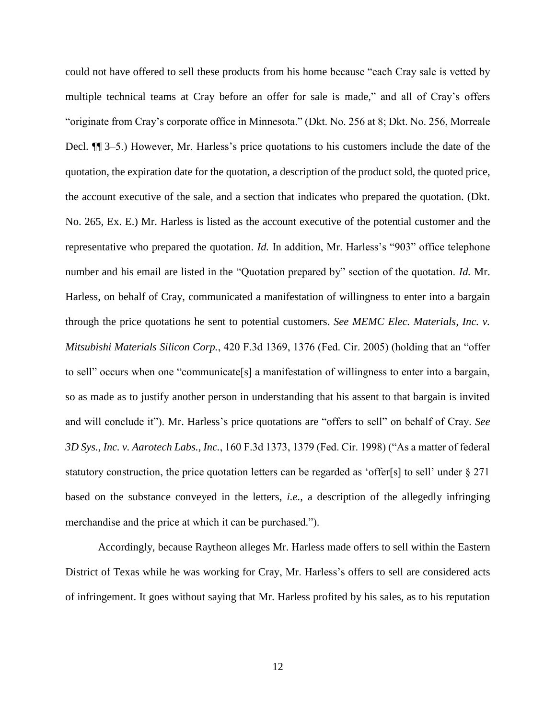could not have offered to sell these products from his home because "each Cray sale is vetted by multiple technical teams at Cray before an offer for sale is made," and all of Cray's offers "originate from Cray's corporate office in Minnesota." (Dkt. No. 256 at 8; Dkt. No. 256, Morreale Decl. ¶¶ 3–5.) However, Mr. Harless's price quotations to his customers include the date of the quotation, the expiration date for the quotation, a description of the product sold, the quoted price, the account executive of the sale, and a section that indicates who prepared the quotation. (Dkt. No. 265, Ex. E.) Mr. Harless is listed as the account executive of the potential customer and the representative who prepared the quotation. *Id.* In addition, Mr. Harless's "903" office telephone number and his email are listed in the "Quotation prepared by" section of the quotation. *Id.* Mr. Harless, on behalf of Cray, communicated a manifestation of willingness to enter into a bargain through the price quotations he sent to potential customers. *See MEMC Elec. Materials, Inc. v. Mitsubishi Materials Silicon Corp.*, 420 F.3d 1369, 1376 (Fed. Cir. 2005) (holding that an "offer to sell" occurs when one "communicate[s] a manifestation of willingness to enter into a bargain, so as made as to justify another person in understanding that his assent to that bargain is invited and will conclude it"). Mr. Harless's price quotations are "offers to sell" on behalf of Cray. *See 3D Sys., Inc. v. Aarotech Labs., Inc.*, 160 F.3d 1373, 1379 (Fed. Cir. 1998) ("As a matter of federal statutory construction, the price quotation letters can be regarded as 'offer[s] to sell' under  $\S 271$ based on the substance conveyed in the letters, *i.e.*, a description of the allegedly infringing merchandise and the price at which it can be purchased.").

Accordingly, because Raytheon alleges Mr. Harless made offers to sell within the Eastern District of Texas while he was working for Cray, Mr. Harless's offers to sell are considered acts of infringement. It goes without saying that Mr. Harless profited by his sales, as to his reputation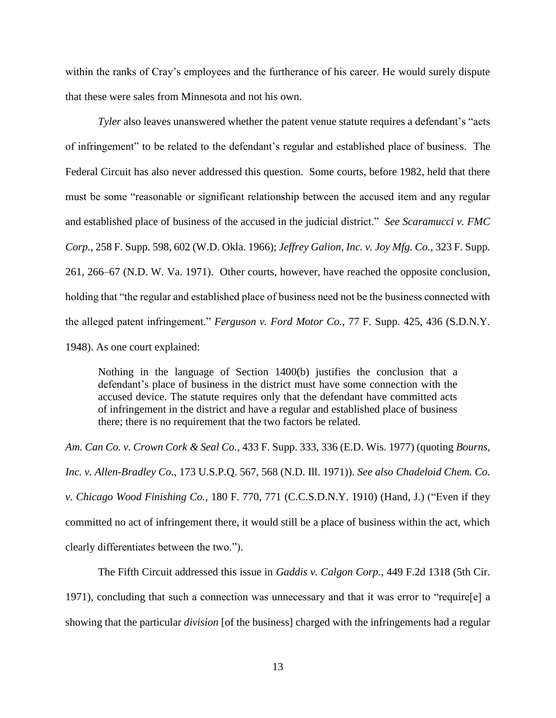within the ranks of Cray's employees and the furtherance of his career. He would surely dispute that these were sales from Minnesota and not his own.

*Tyler* also leaves unanswered whether the patent venue statute requires a defendant's "acts of infringement" to be related to the defendant's regular and established place of business. The Federal Circuit has also never addressed this question. Some courts, before 1982, held that there must be some "reasonable or significant relationship between the accused item and any regular and established place of business of the accused in the judicial district." *See Scaramucci v. FMC Corp.*, 258 F. Supp. 598, 602 (W.D. Okla. 1966); *Jeffrey Galion, Inc. v. Joy Mfg. Co.*, 323 F. Supp. 261, 266–67 (N.D. W. Va. 1971). Other courts, however, have reached the opposite conclusion, holding that "the regular and established place of business need not be the business connected with the alleged patent infringement." *Ferguson v. Ford Motor Co.*, 77 F. Supp. 425, 436 (S.D.N.Y. 1948). As one court explained:

Nothing in the language of Section 1400(b) justifies the conclusion that a defendant's place of business in the district must have some connection with the accused device. The statute requires only that the defendant have committed acts of infringement in the district and have a regular and established place of business there; there is no requirement that the two factors be related.

*Am. Can Co. v. Crown Cork & Seal Co.*, 433 F. Supp. 333, 336 (E.D. Wis. 1977) (quoting *Bourns, Inc. v. Allen-Bradley Co.*, 173 U.S.P.Q. 567, 568 (N.D. Ill. 1971)). *See also Chadeloid Chem. Co. v. Chicago Wood Finishing Co.*, 180 F. 770, 771 (C.C.S.D.N.Y. 1910) (Hand, J.) ("Even if they committed no act of infringement there, it would still be a place of business within the act, which clearly differentiates between the two.").

The Fifth Circuit addressed this issue in *Gaddis v. Calgon Corp.*, 449 F.2d 1318 (5th Cir. 1971), concluding that such a connection was unnecessary and that it was error to "require[e] a showing that the particular *division* [of the business] charged with the infringements had a regular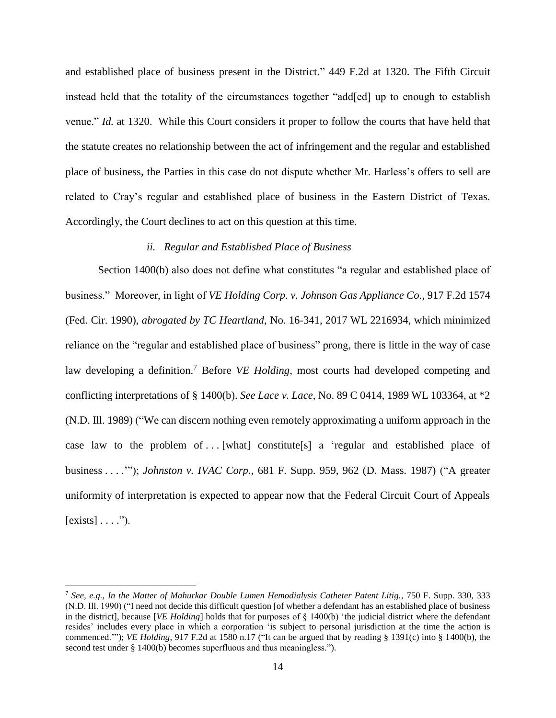and established place of business present in the District." 449 F.2d at 1320. The Fifth Circuit instead held that the totality of the circumstances together "add[ed] up to enough to establish venue." *Id.* at 1320. While this Court considers it proper to follow the courts that have held that the statute creates no relationship between the act of infringement and the regular and established place of business, the Parties in this case do not dispute whether Mr. Harless's offers to sell are related to Cray's regular and established place of business in the Eastern District of Texas. Accordingly, the Court declines to act on this question at this time.

## *ii. Regular and Established Place of Business*

Section 1400(b) also does not define what constitutes "a regular and established place of business." Moreover, in light of *VE Holding Corp. v. Johnson Gas Appliance Co.*, 917 F.2d 1574 (Fed. Cir. 1990), *abrogated by TC Heartland*, No. 16-341, 2017 WL 2216934, which minimized reliance on the "regular and established place of business" prong, there is little in the way of case law developing a definition.<sup>7</sup> Before *VE Holding*, most courts had developed competing and conflicting interpretations of § 1400(b). *See Lace v. Lace*, No. 89 C 0414, 1989 WL 103364, at \*2 (N.D. Ill. 1989) ("We can discern nothing even remotely approximating a uniform approach in the case law to the problem of ... [what] constitute[s] a 'regular and established place of business . . . .'"); *Johnston v. IVAC Corp.*, 681 F. Supp. 959, 962 (D. Mass. 1987) ("A greater uniformity of interpretation is expected to appear now that the Federal Circuit Court of Appeals  $\lbrack \text{exists} \rbrack \ldots$ ").

<sup>7</sup> *See, e.g., In the Matter of Mahurkar Double Lumen Hemodialysis Catheter Patent Litig.*, 750 F. Supp. 330, 333 (N.D. Ill. 1990) ("I need not decide this difficult question [of whether a defendant has an established place of business in the district], because [*VE Holding*] holds that for purposes of § 1400(b) 'the judicial district where the defendant resides' includes every place in which a corporation 'is subject to personal jurisdiction at the time the action is commenced.'"); *VE Holding*, 917 F.2d at 1580 n.17 ("It can be argued that by reading § 1391(c) into § 1400(b), the second test under § 1400(b) becomes superfluous and thus meaningless.").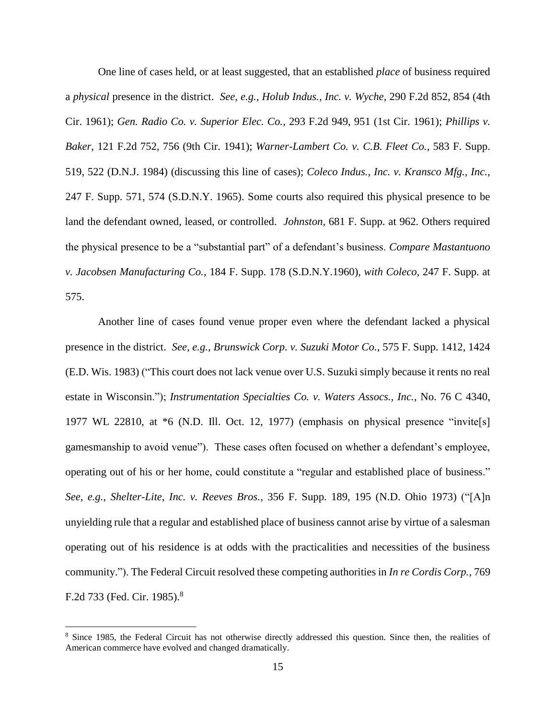One line of cases held, or at least suggested, that an established *place* of business required a *physical* presence in the district. *See, e.g., Holub Indus., Inc. v. Wyche*, 290 F.2d 852, 854 (4th Cir. 1961); *Gen. Radio Co. v. Superior Elec. Co.*, 293 F.2d 949, 951 (1st Cir. 1961); *Phillips v. Baker*, 121 F.2d 752, 756 (9th Cir. 1941); *Warner-Lambert Co. v. C.B. Fleet Co.*, 583 F. Supp. 519, 522 (D.N.J. 1984) (discussing this line of cases); *Coleco Indus., Inc. v. Kransco Mfg., Inc.*, 247 F. Supp. 571, 574 (S.D.N.Y. 1965). Some courts also required this physical presence to be land the defendant owned, leased, or controlled. *Johnston*, 681 F. Supp. at 962. Others required the physical presence to be a "substantial part" of a defendant's business. *Compare Mastantuono v. Jacobsen Manufacturing Co.*, 184 F. Supp. 178 (S.D.N.Y.1960), *with Coleco*, 247 F. Supp. at 575.

Another line of cases found venue proper even where the defendant lacked a physical presence in the district. *See, e.g., Brunswick Corp. v. Suzuki Motor Co.*, 575 F. Supp. 1412, 1424 (E.D. Wis. 1983) ("This court does not lack venue over U.S. Suzuki simply because it rents no real estate in Wisconsin."); *Instrumentation Specialties Co. v. Waters Assocs., Inc.*, No. 76 C 4340, 1977 WL 22810, at \*6 (N.D. Ill. Oct. 12, 1977) (emphasis on physical presence "invite[s] gamesmanship to avoid venue"). These cases often focused on whether a defendant's employee, operating out of his or her home, could constitute a "regular and established place of business." *See, e.g., Shelter-Lite, Inc. v. Reeves Bros.*, 356 F. Supp. 189, 195 (N.D. Ohio 1973) ("[A]n unyielding rule that a regular and established place of business cannot arise by virtue of a salesman operating out of his residence is at odds with the practicalities and necessities of the business community."). The Federal Circuit resolved these competing authorities in *In re Cordis Corp.*, 769 F.2d 733 (Fed. Cir. 1985).<sup>8</sup>

<sup>&</sup>lt;sup>8</sup> Since 1985, the Federal Circuit has not otherwise directly addressed this question. Since then, the realities of American commerce have evolved and changed dramatically.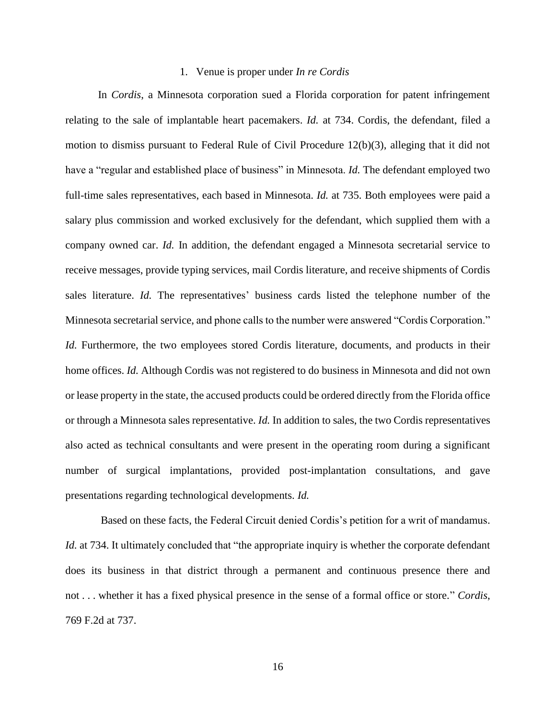## 1. Venue is proper under *In re Cordis*

In *Cordis*, a Minnesota corporation sued a Florida corporation for patent infringement relating to the sale of implantable heart pacemakers. *Id.* at 734. Cordis, the defendant, filed a motion to dismiss pursuant to Federal Rule of Civil Procedure 12(b)(3), alleging that it did not have a "regular and established place of business" in Minnesota. *Id.* The defendant employed two full-time sales representatives, each based in Minnesota. *Id.* at 735. Both employees were paid a salary plus commission and worked exclusively for the defendant, which supplied them with a company owned car. *Id.* In addition, the defendant engaged a Minnesota secretarial service to receive messages, provide typing services, mail Cordis literature, and receive shipments of Cordis sales literature. *Id.* The representatives' business cards listed the telephone number of the Minnesota secretarial service, and phone calls to the number were answered "Cordis Corporation." *Id.* Furthermore, the two employees stored Cordis literature, documents, and products in their home offices. *Id.* Although Cordis was not registered to do business in Minnesota and did not own or lease property in the state, the accused products could be ordered directly from the Florida office or through a Minnesota sales representative. *Id.* In addition to sales, the two Cordis representatives also acted as technical consultants and were present in the operating room during a significant number of surgical implantations, provided post-implantation consultations, and gave presentations regarding technological developments. *Id.*

Based on these facts, the Federal Circuit denied Cordis's petition for a writ of mandamus. *Id.* at 734. It ultimately concluded that "the appropriate inquiry is whether the corporate defendant does its business in that district through a permanent and continuous presence there and not . . . whether it has a fixed physical presence in the sense of a formal office or store." *Cordis*, 769 F.2d at 737.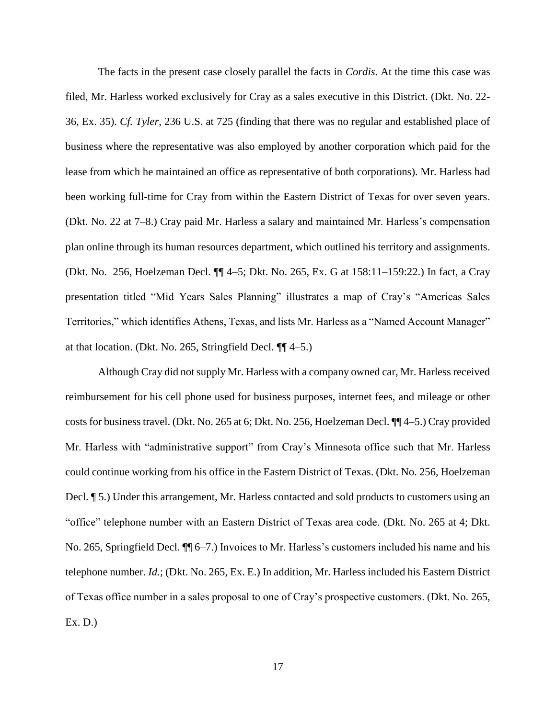The facts in the present case closely parallel the facts in *Cordis.* At the time this case was filed, Mr. Harless worked exclusively for Cray as a sales executive in this District. (Dkt. No. 22- 36, Ex. 35). *Cf. Tyler*, 236 U.S. at 725 (finding that there was no regular and established place of business where the representative was also employed by another corporation which paid for the lease from which he maintained an office as representative of both corporations). Mr. Harless had been working full-time for Cray from within the Eastern District of Texas for over seven years. (Dkt. No. 22 at 7–8.) Cray paid Mr. Harless a salary and maintained Mr. Harless's compensation plan online through its human resources department, which outlined his territory and assignments. (Dkt. No. 256, Hoelzeman Decl. ¶¶ 4–5; Dkt. No. 265, Ex. G at 158:11–159:22.) In fact, a Cray presentation titled "Mid Years Sales Planning" illustrates a map of Cray's "Americas Sales Territories," which identifies Athens, Texas, and lists Mr. Harless as a "Named Account Manager" at that location. (Dkt. No. 265, Stringfield Decl. ¶¶ 4–5.)

Although Cray did not supply Mr. Harless with a company owned car, Mr. Harless received reimbursement for his cell phone used for business purposes, internet fees, and mileage or other costs for business travel. (Dkt. No. 265 at 6; Dkt. No. 256, Hoelzeman Decl. ¶¶ 4–5.) Cray provided Mr. Harless with "administrative support" from Cray's Minnesota office such that Mr. Harless could continue working from his office in the Eastern District of Texas. (Dkt. No. 256, Hoelzeman Decl. ¶ 5.) Under this arrangement, Mr. Harless contacted and sold products to customers using an "office" telephone number with an Eastern District of Texas area code. (Dkt. No. 265 at 4; Dkt. No. 265, Springfield Decl. ¶¶ 6–7.) Invoices to Mr. Harless's customers included his name and his telephone number. *Id.*; (Dkt. No. 265, Ex. E.) In addition, Mr. Harless included his Eastern District of Texas office number in a sales proposal to one of Cray's prospective customers. (Dkt. No. 265, Ex. D.)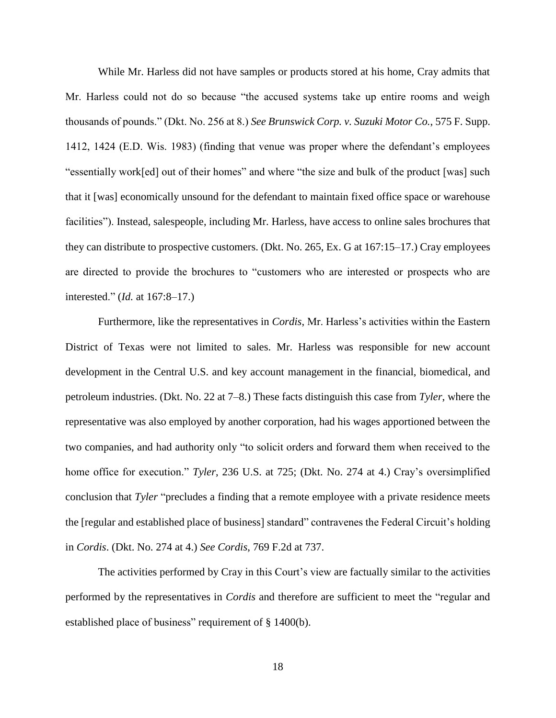While Mr. Harless did not have samples or products stored at his home, Cray admits that Mr. Harless could not do so because "the accused systems take up entire rooms and weigh thousands of pounds." (Dkt. No. 256 at 8.) *See Brunswick Corp. v. Suzuki Motor Co.*, 575 F. Supp. 1412, 1424 (E.D. Wis. 1983) (finding that venue was proper where the defendant's employees "essentially work[ed] out of their homes" and where "the size and bulk of the product [was] such that it [was] economically unsound for the defendant to maintain fixed office space or warehouse facilities"). Instead, salespeople, including Mr. Harless, have access to online sales brochures that they can distribute to prospective customers. (Dkt. No. 265, Ex. G at 167:15–17.) Cray employees are directed to provide the brochures to "customers who are interested or prospects who are interested." (*Id.* at 167:8–17.)

Furthermore, like the representatives in *Cordis*, Mr. Harless's activities within the Eastern District of Texas were not limited to sales. Mr. Harless was responsible for new account development in the Central U.S. and key account management in the financial, biomedical, and petroleum industries. (Dkt. No. 22 at 7–8.) These facts distinguish this case from *Tyler*, where the representative was also employed by another corporation, had his wages apportioned between the two companies, and had authority only "to solicit orders and forward them when received to the home office for execution." *Tyler*, 236 U.S. at 725; (Dkt. No. 274 at 4.) Cray's oversimplified conclusion that *Tyler* "precludes a finding that a remote employee with a private residence meets the [regular and established place of business] standard" contravenes the Federal Circuit's holding in *Cordis*. (Dkt. No. 274 at 4.) *See Cordis*, 769 F.2d at 737.

The activities performed by Cray in this Court's view are factually similar to the activities performed by the representatives in *Cordis* and therefore are sufficient to meet the "regular and established place of business" requirement of § 1400(b).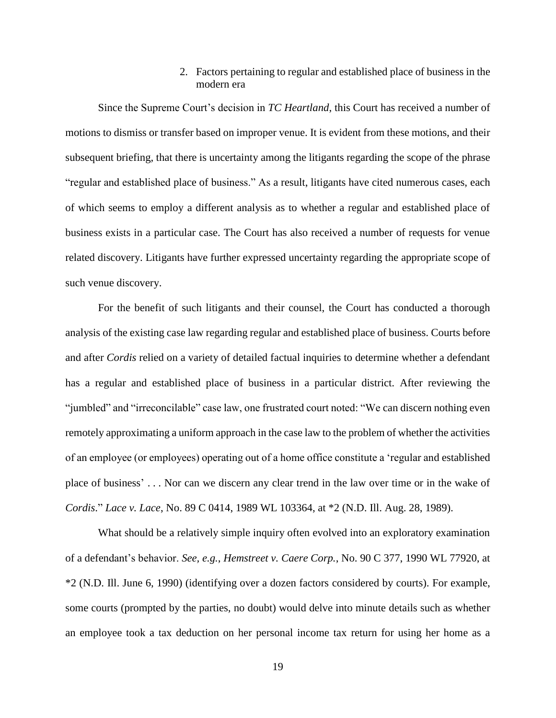# 2. Factors pertaining to regular and established place of business in the modern era

Since the Supreme Court's decision in *TC Heartland*, this Court has received a number of motions to dismiss or transfer based on improper venue. It is evident from these motions, and their subsequent briefing, that there is uncertainty among the litigants regarding the scope of the phrase "regular and established place of business." As a result, litigants have cited numerous cases, each of which seems to employ a different analysis as to whether a regular and established place of business exists in a particular case. The Court has also received a number of requests for venue related discovery. Litigants have further expressed uncertainty regarding the appropriate scope of such venue discovery.

For the benefit of such litigants and their counsel, the Court has conducted a thorough analysis of the existing case law regarding regular and established place of business. Courts before and after *Cordis* relied on a variety of detailed factual inquiries to determine whether a defendant has a regular and established place of business in a particular district. After reviewing the "jumbled" and "irreconcilable" case law, one frustrated court noted: "We can discern nothing even remotely approximating a uniform approach in the case law to the problem of whether the activities of an employee (or employees) operating out of a home office constitute a 'regular and established place of business' . . . Nor can we discern any clear trend in the law over time or in the wake of *Cordis*." *Lace v. Lace*, No. 89 C 0414, 1989 WL 103364, at \*2 (N.D. Ill. Aug. 28, 1989).

What should be a relatively simple inquiry often evolved into an exploratory examination of a defendant's behavior. *See, e.g.*, *Hemstreet v. Caere Corp.*, No. 90 C 377, 1990 WL 77920, at \*2 (N.D. Ill. June 6, 1990) (identifying over a dozen factors considered by courts). For example, some courts (prompted by the parties, no doubt) would delve into minute details such as whether an employee took a tax deduction on her personal income tax return for using her home as a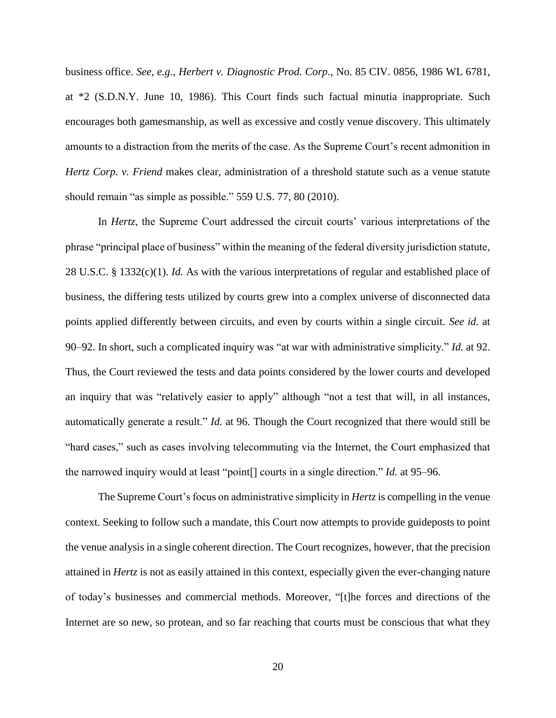business office. *See, e.g.*, *Herbert v. Diagnostic Prod. Corp.*, No. 85 CIV. 0856, 1986 WL 6781, at \*2 (S.D.N.Y. June 10, 1986). This Court finds such factual minutia inappropriate. Such encourages both gamesmanship, as well as excessive and costly venue discovery. This ultimately amounts to a distraction from the merits of the case. As the Supreme Court's recent admonition in *Hertz Corp. v. Friend* makes clear, administration of a threshold statute such as a venue statute should remain "as simple as possible." 559 U.S. 77, 80 (2010).

In *Hertz*, the Supreme Court addressed the circuit courts' various interpretations of the phrase "principal place of business" within the meaning of the federal diversity jurisdiction statute, 28 U.S.C. § 1332(c)(1). *Id.* As with the various interpretations of regular and established place of business, the differing tests utilized by courts grew into a complex universe of disconnected data points applied differently between circuits, and even by courts within a single circuit. *See id.* at 90–92. In short, such a complicated inquiry was "at war with administrative simplicity." *Id.* at 92. Thus, the Court reviewed the tests and data points considered by the lower courts and developed an inquiry that was "relatively easier to apply" although "not a test that will, in all instances, automatically generate a result." *Id.* at 96. Though the Court recognized that there would still be "hard cases," such as cases involving telecommuting via the Internet, the Court emphasized that the narrowed inquiry would at least "point[] courts in a single direction." *Id.* at 95–96.

The Supreme Court's focus on administrative simplicity in *Hertz* is compelling in the venue context. Seeking to follow such a mandate, this Court now attempts to provide guideposts to point the venue analysis in a single coherent direction. The Court recognizes, however, that the precision attained in *Hertz* is not as easily attained in this context, especially given the ever-changing nature of today's businesses and commercial methods. Moreover, "[t]he forces and directions of the Internet are so new, so protean, and so far reaching that courts must be conscious that what they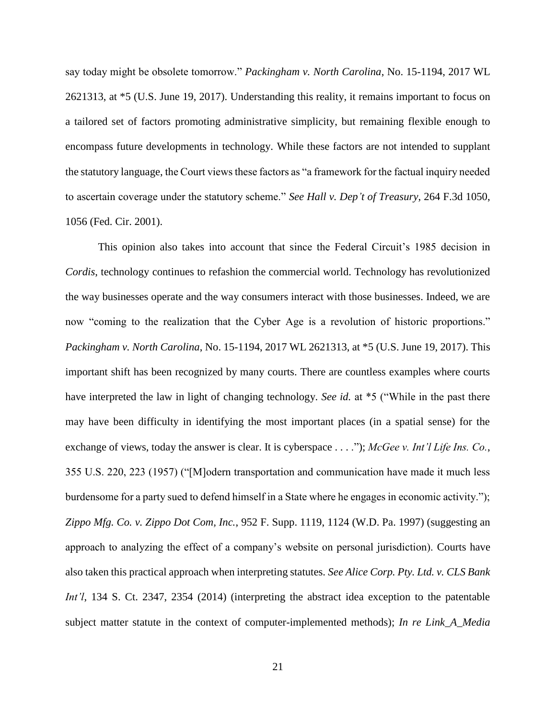say today might be obsolete tomorrow." *Packingham v. North Carolina*, No. 15-1194, 2017 WL 2621313, at \*5 (U.S. June 19, 2017). Understanding this reality, it remains important to focus on a tailored set of factors promoting administrative simplicity, but remaining flexible enough to encompass future developments in technology. While these factors are not intended to supplant the statutory language, the Court views these factors as "a framework for the factual inquiry needed to ascertain coverage under the statutory scheme." *See Hall v. Dep't of Treasury*, 264 F.3d 1050, 1056 (Fed. Cir. 2001).

This opinion also takes into account that since the Federal Circuit's 1985 decision in *Cordis*, technology continues to refashion the commercial world. Technology has revolutionized the way businesses operate and the way consumers interact with those businesses. Indeed, we are now "coming to the realization that the Cyber Age is a revolution of historic proportions." *Packingham v. North Carolina*, No. 15-1194, 2017 WL 2621313, at \*5 (U.S. June 19, 2017). This important shift has been recognized by many courts. There are countless examples where courts have interpreted the law in light of changing technology. *See id.* at \*5 ("While in the past there may have been difficulty in identifying the most important places (in a spatial sense) for the exchange of views, today the answer is clear. It is cyberspace . . . ."); *McGee v. Int'l Life Ins. Co.*, 355 U.S. 220, 223 (1957) ("[M]odern transportation and communication have made it much less burdensome for a party sued to defend himself in a State where he engages in economic activity."); *Zippo Mfg. Co. v. Zippo Dot Com, Inc.*, 952 F. Supp. 1119, 1124 (W.D. Pa. 1997) (suggesting an approach to analyzing the effect of a company's website on personal jurisdiction). Courts have also taken this practical approach when interpreting statutes. *See Alice Corp. Pty. Ltd. v. CLS Bank Int'l*, 134 S. Ct. 2347, 2354 (2014) (interpreting the abstract idea exception to the patentable subject matter statute in the context of computer-implemented methods); *In re Link\_A\_Media*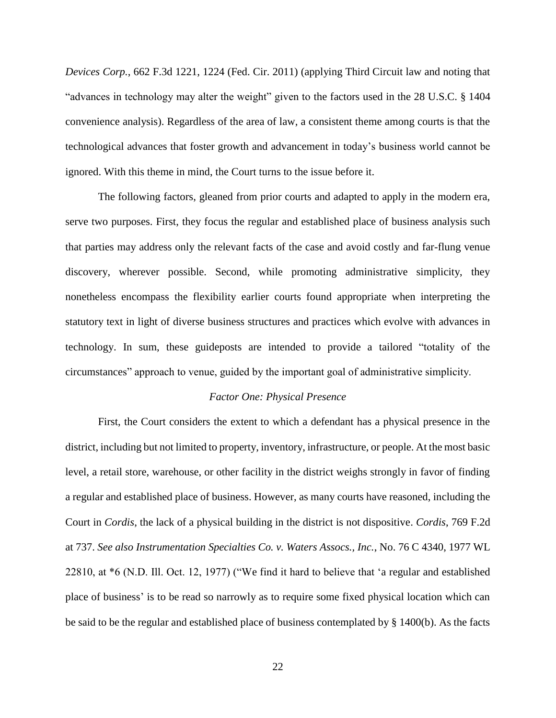*Devices Corp.*, 662 F.3d 1221, 1224 (Fed. Cir. 2011) (applying Third Circuit law and noting that "advances in technology may alter the weight" given to the factors used in the 28 U.S.C. § 1404 convenience analysis). Regardless of the area of law, a consistent theme among courts is that the technological advances that foster growth and advancement in today's business world cannot be ignored. With this theme in mind, the Court turns to the issue before it.

The following factors, gleaned from prior courts and adapted to apply in the modern era, serve two purposes. First, they focus the regular and established place of business analysis such that parties may address only the relevant facts of the case and avoid costly and far-flung venue discovery, wherever possible. Second, while promoting administrative simplicity, they nonetheless encompass the flexibility earlier courts found appropriate when interpreting the statutory text in light of diverse business structures and practices which evolve with advances in technology. In sum, these guideposts are intended to provide a tailored "totality of the circumstances" approach to venue, guided by the important goal of administrative simplicity.

#### *Factor One: Physical Presence*

First, the Court considers the extent to which a defendant has a physical presence in the district, including but not limited to property, inventory, infrastructure, or people. At the most basic level, a retail store, warehouse, or other facility in the district weighs strongly in favor of finding a regular and established place of business. However, as many courts have reasoned, including the Court in *Cordis*, the lack of a physical building in the district is not dispositive. *Cordis*, 769 F.2d at 737. *See also Instrumentation Specialties Co. v. Waters Assocs., Inc.*, No. 76 C 4340, 1977 WL 22810, at \*6 (N.D. Ill. Oct. 12, 1977) ("We find it hard to believe that 'a regular and established place of business' is to be read so narrowly as to require some fixed physical location which can be said to be the regular and established place of business contemplated by § 1400(b). As the facts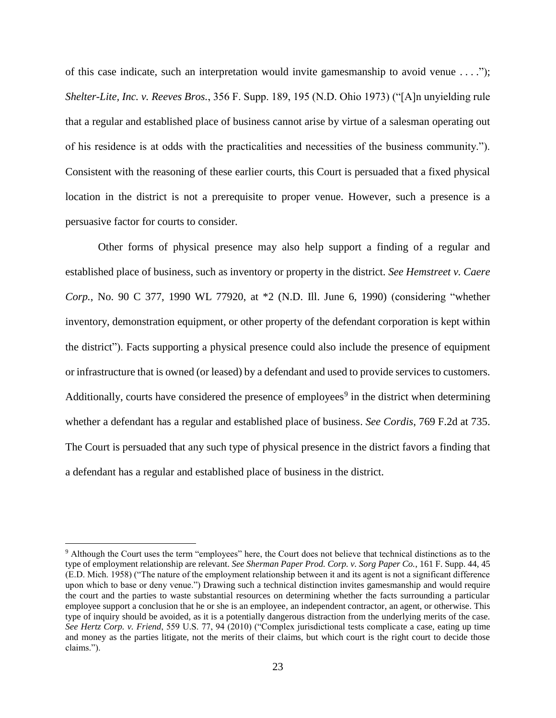of this case indicate, such an interpretation would invite gamesmanship to avoid venue . . . ."); *Shelter-Lite, Inc. v. Reeves Bros.*, 356 F. Supp. 189, 195 (N.D. Ohio 1973) ("[A]n unyielding rule that a regular and established place of business cannot arise by virtue of a salesman operating out of his residence is at odds with the practicalities and necessities of the business community."). Consistent with the reasoning of these earlier courts, this Court is persuaded that a fixed physical location in the district is not a prerequisite to proper venue. However, such a presence is a persuasive factor for courts to consider.

Other forms of physical presence may also help support a finding of a regular and established place of business, such as inventory or property in the district. *See Hemstreet v. Caere Corp.*, No. 90 C 377, 1990 WL 77920, at \*2 (N.D. Ill. June 6, 1990) (considering "whether inventory, demonstration equipment, or other property of the defendant corporation is kept within the district"). Facts supporting a physical presence could also include the presence of equipment or infrastructure that is owned (or leased) by a defendant and used to provide services to customers. Additionally, courts have considered the presence of employees<sup>9</sup> in the district when determining whether a defendant has a regular and established place of business. *See Cordis*, 769 F.2d at 735. The Court is persuaded that any such type of physical presence in the district favors a finding that a defendant has a regular and established place of business in the district.

<sup>&</sup>lt;sup>9</sup> Although the Court uses the term "employees" here, the Court does not believe that technical distinctions as to the type of employment relationship are relevant. *See Sherman Paper Prod. Corp. v. Sorg Paper Co.*, 161 F. Supp. 44, 45 (E.D. Mich. 1958) ("The nature of the employment relationship between it and its agent is not a significant difference upon which to base or deny venue.") Drawing such a technical distinction invites gamesmanship and would require the court and the parties to waste substantial resources on determining whether the facts surrounding a particular employee support a conclusion that he or she is an employee, an independent contractor, an agent, or otherwise. This type of inquiry should be avoided, as it is a potentially dangerous distraction from the underlying merits of the case. *See Hertz Corp. v. Friend*, 559 U.S. 77, 94 (2010) ("Complex jurisdictional tests complicate a case, eating up time and money as the parties litigate, not the merits of their claims, but which court is the right court to decide those claims.").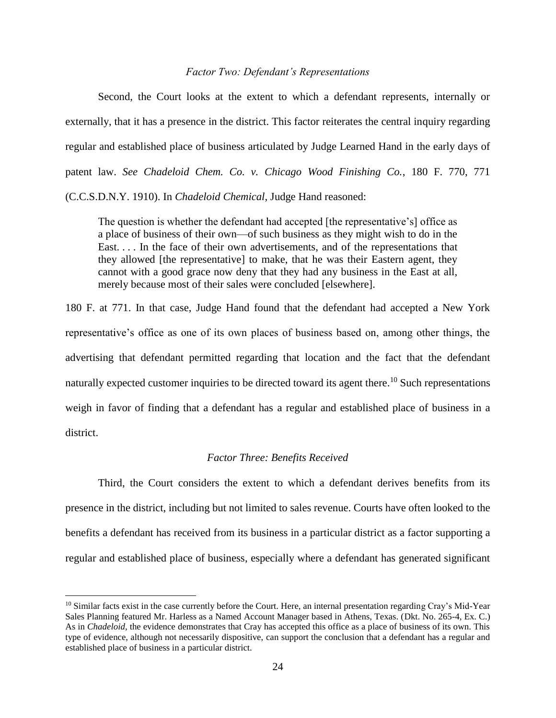# *Factor Two: Defendant's Representations*

Second, the Court looks at the extent to which a defendant represents, internally or externally, that it has a presence in the district. This factor reiterates the central inquiry regarding regular and established place of business articulated by Judge Learned Hand in the early days of patent law. *See Chadeloid Chem. Co. v. Chicago Wood Finishing Co.*, 180 F. 770, 771

(C.C.S.D.N.Y. 1910). In *Chadeloid Chemical*, Judge Hand reasoned:

The question is whether the defendant had accepted [the representative's] office as a place of business of their own—of such business as they might wish to do in the East. . . . In the face of their own advertisements, and of the representations that they allowed [the representative] to make, that he was their Eastern agent, they cannot with a good grace now deny that they had any business in the East at all, merely because most of their sales were concluded [elsewhere].

180 F. at 771. In that case, Judge Hand found that the defendant had accepted a New York representative's office as one of its own places of business based on, among other things, the advertising that defendant permitted regarding that location and the fact that the defendant naturally expected customer inquiries to be directed toward its agent there.<sup>10</sup> Such representations weigh in favor of finding that a defendant has a regular and established place of business in a district.

## *Factor Three: Benefits Received*

Third, the Court considers the extent to which a defendant derives benefits from its presence in the district, including but not limited to sales revenue. Courts have often looked to the benefits a defendant has received from its business in a particular district as a factor supporting a regular and established place of business, especially where a defendant has generated significant

 $10$  Similar facts exist in the case currently before the Court. Here, an internal presentation regarding Cray's Mid-Year Sales Planning featured Mr. Harless as a Named Account Manager based in Athens, Texas. (Dkt. No. 265-4, Ex. C.) As in *Chadeloid*, the evidence demonstrates that Cray has accepted this office as a place of business of its own. This type of evidence, although not necessarily dispositive, can support the conclusion that a defendant has a regular and established place of business in a particular district.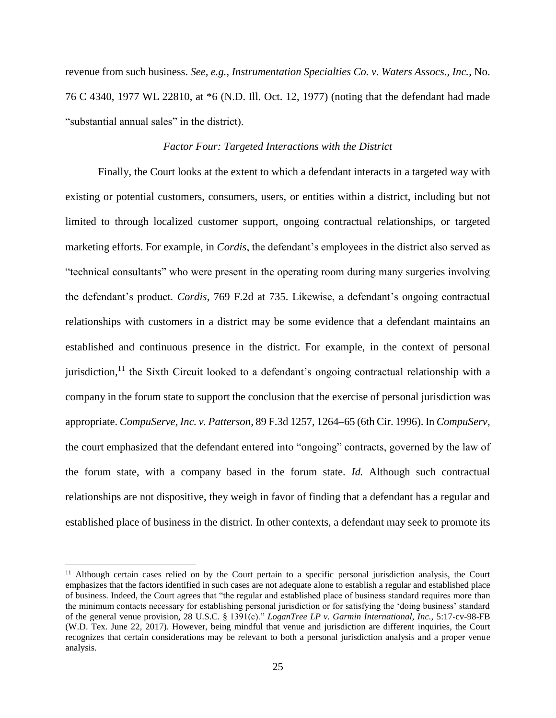revenue from such business. *See, e.g.*, *Instrumentation Specialties Co. v. Waters Assocs., Inc.*, No. 76 C 4340, 1977 WL 22810, at \*6 (N.D. Ill. Oct. 12, 1977) (noting that the defendant had made "substantial annual sales" in the district).

## *Factor Four: Targeted Interactions with the District*

Finally, the Court looks at the extent to which a defendant interacts in a targeted way with existing or potential customers, consumers, users, or entities within a district, including but not limited to through localized customer support, ongoing contractual relationships, or targeted marketing efforts. For example, in *Cordis*, the defendant's employees in the district also served as "technical consultants" who were present in the operating room during many surgeries involving the defendant's product. *Cordis*, 769 F.2d at 735. Likewise, a defendant's ongoing contractual relationships with customers in a district may be some evidence that a defendant maintains an established and continuous presence in the district. For example, in the context of personal jurisdiction,<sup>11</sup> the Sixth Circuit looked to a defendant's ongoing contractual relationship with a company in the forum state to support the conclusion that the exercise of personal jurisdiction was appropriate. *CompuServe, Inc. v. Patterson*, 89 F.3d 1257, 1264–65 (6th Cir. 1996). In *CompuServ*, the court emphasized that the defendant entered into "ongoing" contracts, governed by the law of the forum state, with a company based in the forum state. *Id.* Although such contractual relationships are not dispositive, they weigh in favor of finding that a defendant has a regular and established place of business in the district. In other contexts, a defendant may seek to promote its

<sup>&</sup>lt;sup>11</sup> Although certain cases relied on by the Court pertain to a specific personal jurisdiction analysis, the Court emphasizes that the factors identified in such cases are not adequate alone to establish a regular and established place of business. Indeed, the Court agrees that "the regular and established place of business standard requires more than the minimum contacts necessary for establishing personal jurisdiction or for satisfying the 'doing business' standard of the general venue provision, 28 U.S.C. § 1391(c)." *LoganTree LP v. Garmin International, Inc.*, 5:17-cv-98-FB (W.D. Tex. June 22, 2017). However, being mindful that venue and jurisdiction are different inquiries, the Court recognizes that certain considerations may be relevant to both a personal jurisdiction analysis and a proper venue analysis.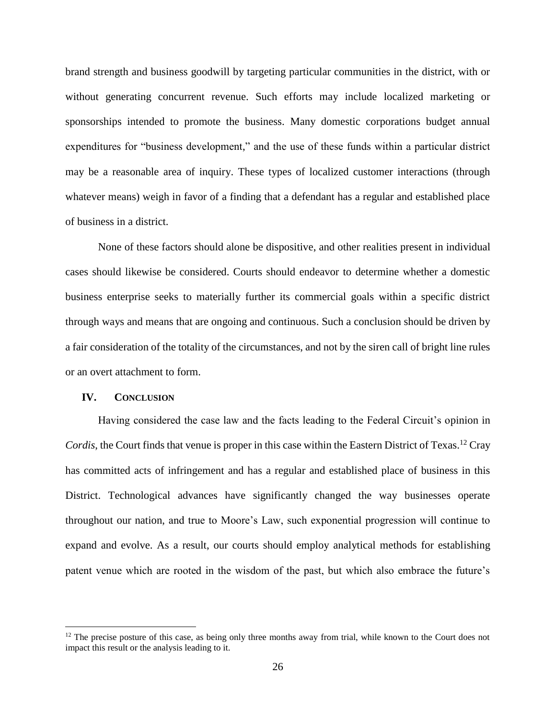brand strength and business goodwill by targeting particular communities in the district, with or without generating concurrent revenue. Such efforts may include localized marketing or sponsorships intended to promote the business. Many domestic corporations budget annual expenditures for "business development," and the use of these funds within a particular district may be a reasonable area of inquiry. These types of localized customer interactions (through whatever means) weigh in favor of a finding that a defendant has a regular and established place of business in a district.

None of these factors should alone be dispositive, and other realities present in individual cases should likewise be considered. Courts should endeavor to determine whether a domestic business enterprise seeks to materially further its commercial goals within a specific district through ways and means that are ongoing and continuous. Such a conclusion should be driven by a fair consideration of the totality of the circumstances, and not by the siren call of bright line rules or an overt attachment to form.

## **IV. CONCLUSION**

 $\overline{a}$ 

Having considered the case law and the facts leading to the Federal Circuit's opinion in Cordis, the Court finds that venue is proper in this case within the Eastern District of Texas.<sup>12</sup> Cray has committed acts of infringement and has a regular and established place of business in this District. Technological advances have significantly changed the way businesses operate throughout our nation, and true to Moore's Law, such exponential progression will continue to expand and evolve. As a result, our courts should employ analytical methods for establishing patent venue which are rooted in the wisdom of the past, but which also embrace the future's

 $12$  The precise posture of this case, as being only three months away from trial, while known to the Court does not impact this result or the analysis leading to it.